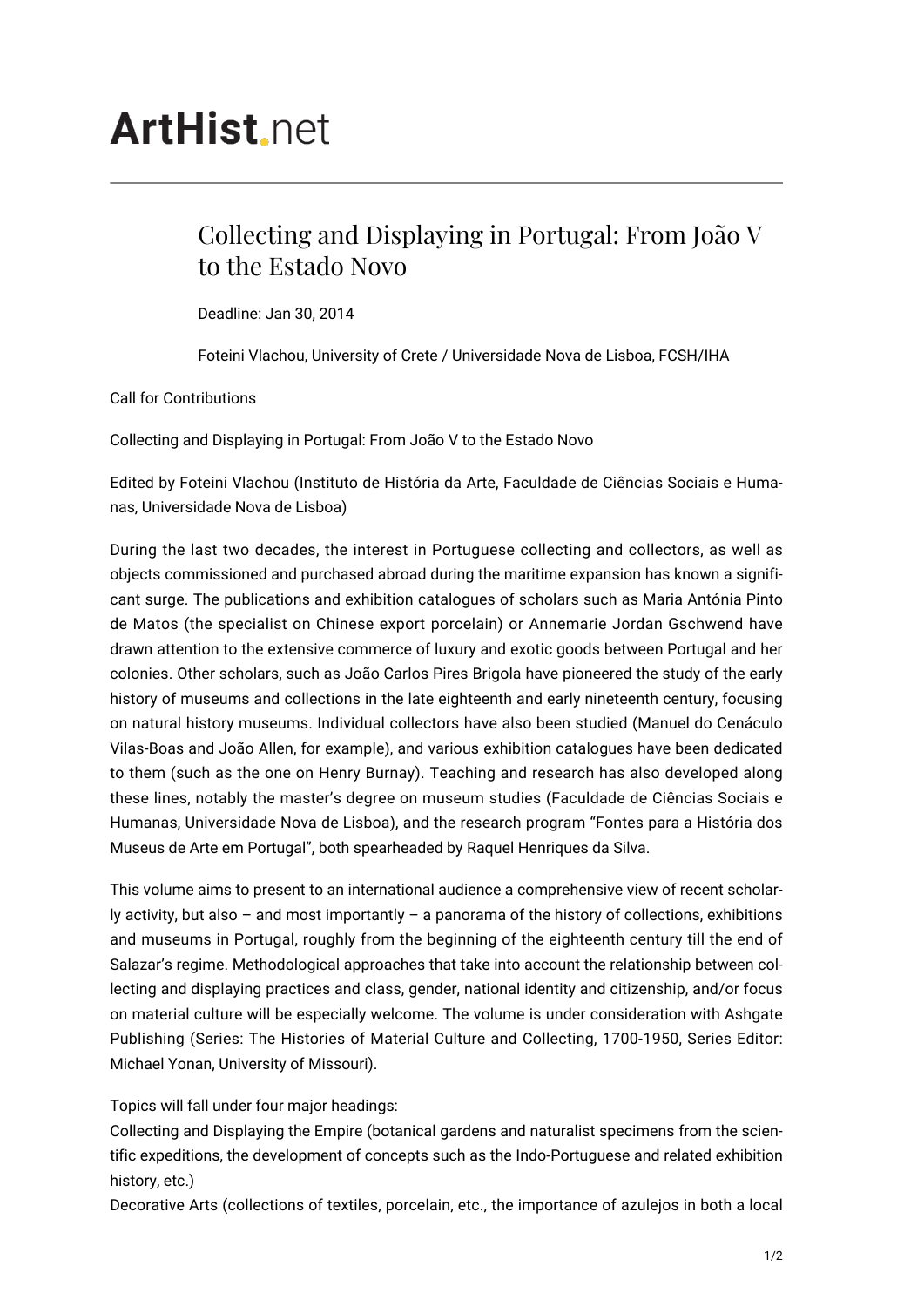## **ArtHist**, net

## Collecting and Displaying in Portugal: From João V to the Estado Novo

Deadline: Jan 30, 2014

Foteini Vlachou, University of Crete / Universidade Nova de Lisboa, FCSH/IHA

Call for Contributions

Collecting and Displaying in Portugal: From João V to the Estado Novo

Edited by Foteini Vlachou (Instituto de História da Arte, Faculdade de Ciências Sociais e Humanas, Universidade Nova de Lisboa)

During the last two decades, the interest in Portuguese collecting and collectors, as well as objects commissioned and purchased abroad during the maritime expansion has known a significant surge. The publications and exhibition catalogues of scholars such as Maria Antónia Pinto de Matos (the specialist on Chinese export porcelain) or Annemarie Jordan Gschwend have drawn attention to the extensive commerce of luxury and exotic goods between Portugal and her colonies. Other scholars, such as João Carlos Pires Brigola have pioneered the study of the early history of museums and collections in the late eighteenth and early nineteenth century, focusing on natural history museums. Individual collectors have also been studied (Manuel do Cenáculo Vilas-Boas and João Allen, for example), and various exhibition catalogues have been dedicated to them (such as the one on Henry Burnay). Teaching and research has also developed along these lines, notably the master's degree on museum studies (Faculdade de Ciências Sociais e Humanas, Universidade Nova de Lisboa), and the research program "Fontes para a História dos Museus de Arte em Portugal", both spearheaded by Raquel Henriques da Silva.

This volume aims to present to an international audience a comprehensive view of recent scholarly activity, but also – and most importantly – a panorama of the history of collections, exhibitions and museums in Portugal, roughly from the beginning of the eighteenth century till the end of Salazar's regime. Methodological approaches that take into account the relationship between collecting and displaying practices and class, gender, national identity and citizenship, and/or focus on material culture will be especially welcome. The volume is under consideration with Ashgate Publishing (Series: The Histories of Material Culture and Collecting, 1700-1950, Series Editor: Michael Yonan, University of Missouri).

Topics will fall under four major headings:

Collecting and Displaying the Empire (botanical gardens and naturalist specimens from the scientific expeditions, the development of concepts such as the Indo-Portuguese and related exhibition history, etc.)

Decorative Arts (collections of textiles, porcelain, etc., the importance of azulejos in both a local